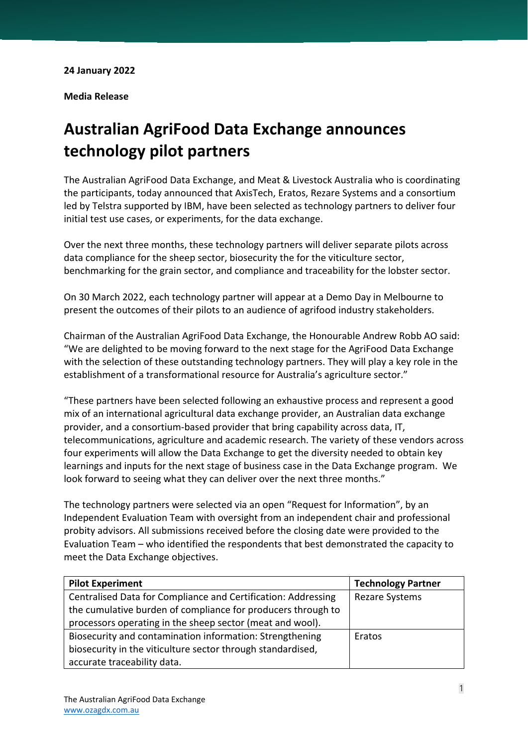**Media Release** 

## **Australian AgriFood Data Exchange announces technology pilot partners**

The Australian AgriFood Data Exchange, and Meat & Livestock Australia who is coordinating the participants, today announced that AxisTech, Eratos, Rezare Systems and a consortium led by Telstra supported by IBM, have been selected as technology partners to deliver four initial test use cases, or experiments, for the data exchange.

Over the next three months, these technology partners will deliver separate pilots across data compliance for the sheep sector, biosecurity the for the viticulture sector, benchmarking for the grain sector, and compliance and traceability for the lobster sector.

On 30 March 2022, each technology partner will appear at a Demo Day in Melbourne to present the outcomes of their pilots to an audience of agrifood industry stakeholders.

Chairman of the Australian AgriFood Data Exchange, the Honourable Andrew Robb AO said: "We are delighted to be moving forward to the next stage for the AgriFood Data Exchange with the selection of these outstanding technology partners. They will play a key role in the establishment of a transformational resource for Australia's agriculture sector."

"These partners have been selected following an exhaustive process and represent a good mix of an international agricultural data exchange provider, an Australian data exchange provider, and a consortium-based provider that bring capability across data, IT, telecommunications, agriculture and academic research. The variety of these vendors across four experiments will allow the Data Exchange to get the diversity needed to obtain key learnings and inputs for the next stage of business case in the Data Exchange program. We look forward to seeing what they can deliver over the next three months."

The technology partners were selected via an open "Request for Information", by an Independent Evaluation Team with oversight from an independent chair and professional probity advisors. All submissions received before the closing date were provided to the Evaluation Team – who identified the respondents that best demonstrated the capacity to meet the Data Exchange objectives.

| <b>Pilot Experiment</b>                                       | <b>Technology Partner</b> |
|---------------------------------------------------------------|---------------------------|
| Centralised Data for Compliance and Certification: Addressing | <b>Rezare Systems</b>     |
| the cumulative burden of compliance for producers through to  |                           |
| processors operating in the sheep sector (meat and wool).     |                           |
| Biosecurity and contamination information: Strengthening      | Eratos                    |
| biosecurity in the viticulture sector through standardised,   |                           |
| accurate traceability data.                                   |                           |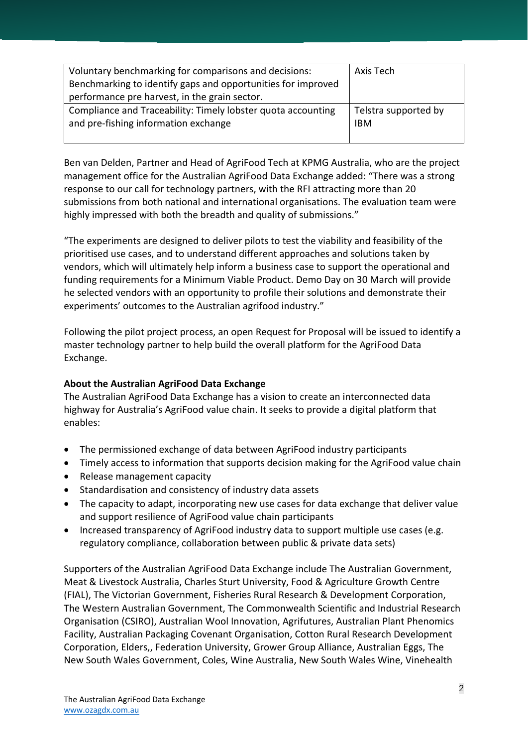| Voluntary benchmarking for comparisons and decisions:<br>Benchmarking to identify gaps and opportunities for improved<br>performance pre harvest, in the grain sector. | Axis Tech            |
|------------------------------------------------------------------------------------------------------------------------------------------------------------------------|----------------------|
| Compliance and Traceability: Timely lobster quota accounting                                                                                                           | Telstra supported by |
| and pre-fishing information exchange                                                                                                                                   | <b>IBM</b>           |

Ben van Delden, Partner and Head of AgriFood Tech at KPMG Australia, who are the project management office for the Australian AgriFood Data Exchange added: "There was a strong response to our call for technology partners, with the RFI attracting more than 20 submissions from both national and international organisations. The evaluation team were highly impressed with both the breadth and quality of submissions."

"The experiments are designed to deliver pilots to test the viability and feasibility of the prioritised use cases, and to understand different approaches and solutions taken by vendors, which will ultimately help inform a business case to support the operational and funding requirements for a Minimum Viable Product. Demo Day on 30 March will provide he selected vendors with an opportunity to profile their solutions and demonstrate their experiments' outcomes to the Australian agrifood industry."

Following the pilot project process, an open Request for Proposal will be issued to identify a master technology partner to help build the overall platform for the AgriFood Data Exchange.

## **About the Australian AgriFood Data Exchange**

The Australian AgriFood Data Exchange has a vision to create an interconnected data highway for Australia's AgriFood value chain. It seeks to provide a digital platform that enables:

- The permissioned exchange of data between AgriFood industry participants
- Timely access to information that supports decision making for the AgriFood value chain
- Release management capacity
- Standardisation and consistency of industry data assets
- The capacity to adapt, incorporating new use cases for data exchange that deliver value and support resilience of AgriFood value chain participants
- Increased transparency of AgriFood industry data to support multiple use cases (e.g. regulatory compliance, collaboration between public & private data sets)

Supporters of the Australian AgriFood Data Exchange include The Australian Government, Meat & Livestock Australia, Charles Sturt University, Food & Agriculture Growth Centre (FIAL), The Victorian Government, Fisheries Rural Research & Development Corporation, The Western Australian Government, The Commonwealth Scientific and Industrial Research Organisation (CSIRO), Australian Wool Innovation, Agrifutures, Australian Plant Phenomics Facility, Australian Packaging Covenant Organisation, Cotton Rural Research Development Corporation, Elders,, Federation University, Grower Group Alliance, Australian Eggs, The New South Wales Government, Coles, Wine Australia, New South Wales Wine, Vinehealth